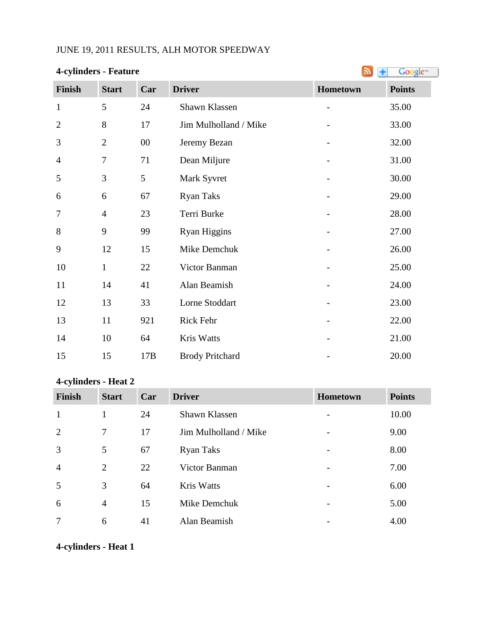### JUNE 19, 2011 RESULTS, ALH MOTOR SPEEDWAY

### **4-cylinders - Feature**

| <b>+-</b> Cymnucis - Peature | IТI<br>Google  |        |                        |                          |               |
|------------------------------|----------------|--------|------------------------|--------------------------|---------------|
| Finish                       | <b>Start</b>   | Car    | <b>Driver</b>          | Hometown                 | <b>Points</b> |
| $\mathbf{1}$                 | 5              | 24     | Shawn Klassen          | $\overline{\phantom{a}}$ | 35.00         |
| $\overline{2}$               | 8              | 17     | Jim Mulholland / Mike  |                          | 33.00         |
| 3                            | $\mathbf{2}$   | $00\,$ | Jeremy Bezan           |                          | 32.00         |
| $\overline{4}$               | $\tau$         | 71     | Dean Miljure           | $\overline{\phantom{0}}$ | 31.00         |
| 5                            | 3              | 5      | Mark Syvret            |                          | 30.00         |
| 6                            | 6              | 67     | <b>Ryan Taks</b>       |                          | 29.00         |
| 7                            | $\overline{4}$ | 23     | Terri Burke            |                          | 28.00         |
| 8                            | 9              | 99     | <b>Ryan Higgins</b>    |                          | 27.00         |
| 9                            | 12             | 15     | Mike Demchuk           |                          | 26.00         |
| 10                           | $\mathbf{1}$   | 22     | Victor Banman          |                          | 25.00         |
| 11                           | 14             | 41     | Alan Beamish           |                          | 24.00         |
| 12                           | 13             | 33     | Lorne Stoddart         |                          | 23.00         |
| 13                           | 11             | 921    | Rick Fehr              |                          | 22.00         |
| 14                           | 10             | 64     | Kris Watts             |                          | 21.00         |
| 15                           | 15             | 17B    | <b>Brody Pritchard</b> |                          | 20.00         |

### **4-cylinders - Heat 2**

| Finish         | <b>Start</b>   | Car | <b>Driver</b>         | <b>Hometown</b>          | <b>Points</b> |
|----------------|----------------|-----|-----------------------|--------------------------|---------------|
| $\mathbf{1}$   |                | 24  | Shawn Klassen         |                          | 10.00         |
| 2              | $\tau$         | 17  | Jim Mulholland / Mike |                          | 9.00          |
| $\overline{3}$ | 5              | 67  | <b>Ryan Taks</b>      |                          | 8.00          |
| $\overline{4}$ | 2              | 22  | Victor Banman         | -                        | 7.00          |
| 5              | 3              | 64  | <b>Kris Watts</b>     |                          | 6.00          |
| 6              | $\overline{4}$ | 15  | Mike Demchuk          |                          | 5.00          |
| $\overline{7}$ | 6              | 41  | Alan Beamish          | $\overline{\phantom{0}}$ | 4.00          |

### **4-cylinders - Heat 1**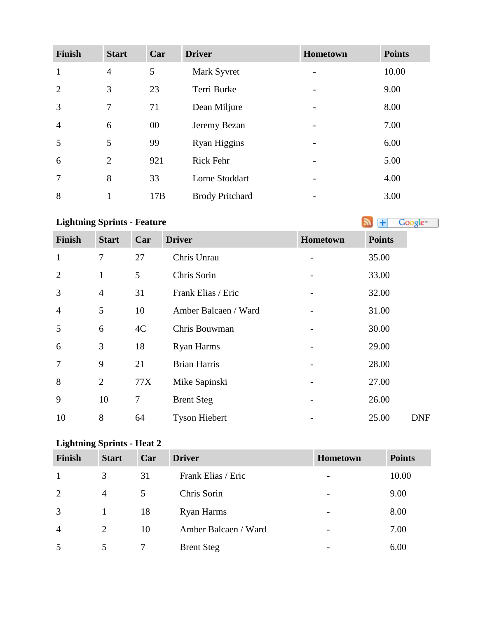| <b>Finish</b>  | <b>Start</b>   | Car    | <b>Driver</b>          | Hometown | <b>Points</b> |
|----------------|----------------|--------|------------------------|----------|---------------|
| $\mathbf{1}$   | $\overline{4}$ | 5      | Mark Syvret            |          | 10.00         |
| $\overline{2}$ | 3              | 23     | Terri Burke            |          | 9.00          |
| 3              | 7              | 71     | Dean Miljure           |          | 8.00          |
| $\overline{4}$ | 6              | $00\,$ | Jeremy Bezan           |          | 7.00          |
| 5              | 5              | 99     | <b>Ryan Higgins</b>    |          | 6.00          |
| 6              | 2              | 921    | Rick Fehr              |          | 5.00          |
| 7              | 8              | 33     | Lorne Stoddart         |          | 4.00          |
| 8              |                | 17B    | <b>Brody Pritchard</b> |          | 3.00          |

# **Lightning Sprints - Feature**

| <b>Finish</b>  | <b>Start</b>   | Car            | <b>Driver</b>        | Hometown | <b>Points</b> |
|----------------|----------------|----------------|----------------------|----------|---------------|
| $\mathbf{1}$   | 7              | 27             | Chris Unrau          |          | 35.00         |
| $\overline{2}$ | 1              | 5              | Chris Sorin          |          | 33.00         |
| 3              | $\overline{4}$ | 31             | Frank Elias / Eric   |          | 32.00         |
| $\overline{4}$ | 5              | 10             | Amber Balcaen / Ward |          | 31.00         |
| 5              | 6              | 4C             | Chris Bouwman        |          | 30.00         |
| 6              | 3              | 18             | <b>Ryan Harms</b>    |          | 29.00         |
| $\overline{7}$ | 9              | 21             | <b>Brian Harris</b>  |          | 28.00         |
| 8              | $\overline{2}$ | 77X            | Mike Sapinski        |          | 27.00         |
| 9              | 10             | $\overline{7}$ | <b>Brent Steg</b>    |          | 26.00         |
| 10             | 8              | 64             | <b>Tyson Hiebert</b> |          | 25.00         |

# **Lightning Sprints - Heat 2**

| Finish         | <b>Start</b> | Car | <b>Driver</b>        | Hometown                 | <b>Points</b> |
|----------------|--------------|-----|----------------------|--------------------------|---------------|
|                | 3            | 31  | Frank Elias / Eric   | $\overline{\phantom{a}}$ | 10.00         |
| 2              | 4            | 5   | Chris Sorin          | $\overline{\phantom{m}}$ | 9.00          |
| 3              |              | 18  | Ryan Harms           | $\overline{\phantom{a}}$ | 8.00          |
| $\overline{4}$ | 2            | 10  | Amber Balcaen / Ward | $\overline{\phantom{a}}$ | 7.00          |
|                |              |     | <b>Brent Steg</b>    | $\overline{\phantom{a}}$ | 6.00          |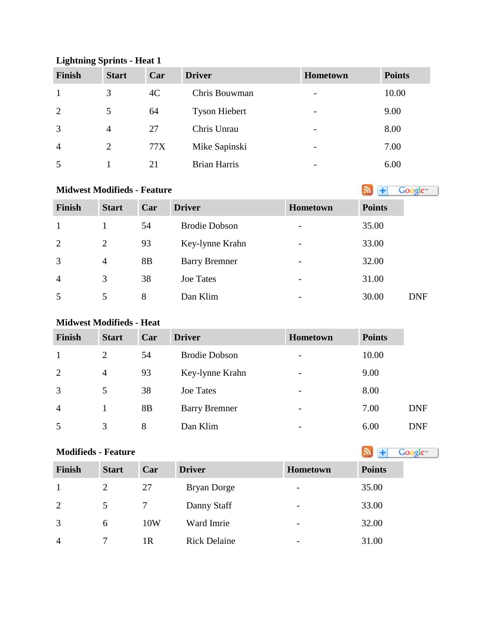#### **Lightning Sprints - Heat 1**

| <b>Finish</b>  | <b>Start</b> | Car | <b>Driver</b>        | Hometown                 | <b>Points</b> |
|----------------|--------------|-----|----------------------|--------------------------|---------------|
|                | 3            | 4C  | Chris Bouwman        | $\overline{\phantom{a}}$ | 10.00         |
| 2              | 5            | 64  | <b>Tyson Hiebert</b> | $\overline{\phantom{a}}$ | 9.00          |
| 3              | 4            | 27  | Chris Unrau          | $\overline{\phantom{a}}$ | 8.00          |
| $\overline{4}$ | 2            | 77X | Mike Sapinski        | $\overline{\phantom{a}}$ | 7.00          |
| 5              |              | 21  | <b>Brian Harris</b>  | $\overline{\phantom{0}}$ | 6.00          |

# **MidwestModifieds - Feature**

| Finish         | <b>Start</b>   | Car | <b>Driver</b>        | <b>Hometown</b>          | <b>Points</b> |
|----------------|----------------|-----|----------------------|--------------------------|---------------|
| $\mathbf{1}$   |                | 54  | <b>Brodie Dobson</b> |                          | 35.00         |
| $\overline{2}$ | $\overline{2}$ | 93  | Key-lynne Krahn      | -                        | 33.00         |
| 3              | $\overline{4}$ | 8B  | <b>Barry Bremner</b> | $\overline{\phantom{0}}$ | 32.00         |
| $\overline{4}$ | 3              | 38  | <b>Joe Tates</b>     | $\overline{\phantom{a}}$ | 31.00         |
| 5              | 5              | 8   | Dan Klim             |                          | 30.00         |

### **Midwest Modifieds - Heat**

| <b>Finish</b>  | <b>Start</b> | Car            | <b>Driver</b>        | <b>Hometown</b>          | <b>Points</b> |            |
|----------------|--------------|----------------|----------------------|--------------------------|---------------|------------|
|                | 2            | 54             | <b>Brodie Dobson</b> | $\overline{\phantom{a}}$ | 10.00         |            |
| 2              | 4            | 93             | Key-lynne Krahn      | $\overline{\phantom{a}}$ | 9.00          |            |
| 3              | 5            | 38             | <b>Joe Tates</b>     | $\overline{\phantom{a}}$ | 8.00          |            |
| $\overline{4}$ |              | 8 <sub>B</sub> | <b>Barry Bremner</b> | $\overline{\phantom{a}}$ | 7.00          | <b>DNF</b> |
| 5              | 3            | 8              | Dan Klim             | $\overline{\phantom{a}}$ | 6.00          | <b>DNF</b> |

# **Modifieds- Feature Modifieds - Feature**

| Finish         | <b>Start</b> | Car | <b>Driver</b>       | <b>Hometown</b>          | <b>Points</b> |
|----------------|--------------|-----|---------------------|--------------------------|---------------|
|                | 2            | 27  | Bryan Dorge         | $\overline{\phantom{a}}$ | 35.00         |
| 2              | 5            |     | Danny Staff         | $\overline{\phantom{a}}$ | 33.00         |
| 3              | 6            | 10W | Ward Imrie          | $\overline{\phantom{a}}$ | 32.00         |
| $\overline{4}$ |              | 1R  | <b>Rick Delaine</b> | $\overline{\phantom{a}}$ | 31.00         |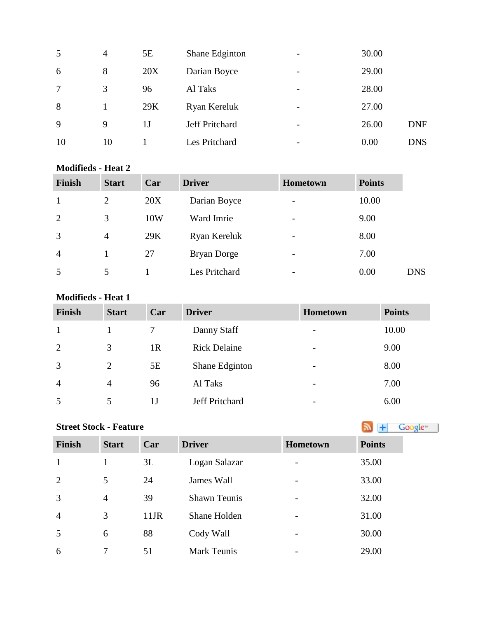| 5  | $\overline{4}$ | 5E  | Shane Edginton | $\overline{\phantom{a}}$ | 30.00 |            |
|----|----------------|-----|----------------|--------------------------|-------|------------|
| 6  | 8              | 20X | Darian Boyce   | $\overline{\phantom{0}}$ | 29.00 |            |
| 7  | 3              | 96  | Al Taks        | $\overline{\phantom{a}}$ | 28.00 |            |
| 8  |                | 29K | Ryan Kereluk   | $\overline{\phantom{a}}$ | 27.00 |            |
| 9  | 9              | 1 J | Jeff Pritchard | $\overline{\phantom{a}}$ | 26.00 | <b>DNF</b> |
| 10 | 10             |     | Les Pritchard  | $\overline{\phantom{a}}$ | 0.00  | <b>DNS</b> |

#### **Modifieds - Heat 2**

| <b>Finish</b>  | <b>Start</b>   | Car | <b>Driver</b> | <b>Hometown</b> | <b>Points</b> |            |
|----------------|----------------|-----|---------------|-----------------|---------------|------------|
|                | $\overline{2}$ | 20X | Darian Boyce  | -               | 10.00         |            |
| 2              | 3              | 10W | Ward Imrie    | -               | 9.00          |            |
| 3              | $\overline{4}$ | 29K | Ryan Kereluk  | -               | 8.00          |            |
| $\overline{4}$ |                | 27  | Bryan Dorge   |                 | 7.00          |            |
| 5              | 5              |     | Les Pritchard | -               | 0.00          | <b>DNS</b> |

### **Modifieds - Heat 1**

| <b>Finish</b>  | <b>Start</b>   | Car            | <b>Driver</b>         | <b>Hometown</b>          | <b>Points</b> |
|----------------|----------------|----------------|-----------------------|--------------------------|---------------|
| -1             |                |                | Danny Staff           | -                        | 10.00         |
| 2              | 3              | 1 <sub>R</sub> | <b>Rick Delaine</b>   | $\qquad \qquad$          | 9.00          |
| 3              | 2              | 5E             | Shane Edginton        | $\qquad \qquad$          | 8.00          |
| $\overline{4}$ | $\overline{4}$ | 96             | Al Taks               | $\overline{\phantom{0}}$ | 7.00          |
| 5              | 5              | 1 J            | <b>Jeff Pritchard</b> | $\overline{\phantom{0}}$ | 6.00          |

### **Street Stock - Feature**

| <b>Finish</b>  | <b>Start</b>   | Car     | <b>Driver</b>       | <b>Hometown</b>          | <b>Points</b> |
|----------------|----------------|---------|---------------------|--------------------------|---------------|
| 1              |                | 3L      | Logan Salazar       | -                        | 35.00         |
| 2              | $\mathfrak{S}$ | 24      | James Wall          |                          | 33.00         |
| $\overline{3}$ | $\overline{4}$ | 39      | <b>Shawn Teunis</b> |                          | 32.00         |
| $\overline{4}$ | 3              | $11$ JR | Shane Holden        |                          | 31.00         |
| 5              | 6              | 88      | Cody Wall           | $\overline{\phantom{0}}$ | 30.00         |
| 6              |                | 51      | <b>Mark Teunis</b>  |                          | 29.00         |